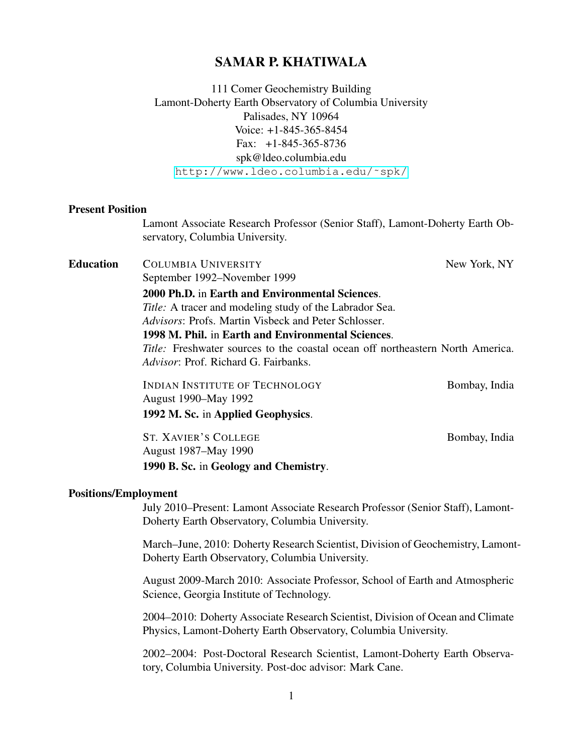# SAMAR P. KHATIWALA

<span id="page-0-0"></span>111 Comer Geochemistry Building Lamont-Doherty Earth Observatory of Columbia University Palisades, NY 10964 Voice: +1-845-365-8454 Fax: +1-845-365-8736 spk@ldeo.columbia.edu [http://www.ldeo.columbia.edu/˜spk/](http://www.ldeo.columbia.edu/~spk/)

# Present Position

Lamont Associate Research Professor (Senior Staff), Lamont-Doherty Earth Observatory, Columbia University.

**Education** COLUMBIA UNIVERSITY New York, NY September 1992–November 1999 2000 Ph.D. in Earth and Environmental Sciences. *Title:* A tracer and modeling study of the Labrador Sea. *Advisors*: Profs. Martin Visbeck and Peter Schlosser. 1998 M. Phil. in Earth and Environmental Sciences. *Title:* Freshwater sources to the coastal ocean off northeastern North America. *Advisor*: Prof. Richard G. Fairbanks. INDIAN INSTITUTE OF TECHNOLOGY Bombay, India August 1990–May 1992 1992 M. Sc. in Applied Geophysics.

> ST. XAVIER'S COLLEGE Bombay, India August 1987–May 1990 1990 B. Sc. in Geology and Chemistry.

### Positions/Employment

July 2010–Present: Lamont Associate Research Professor (Senior Staff), Lamont-Doherty Earth Observatory, Columbia University.

March–June, 2010: Doherty Research Scientist, Division of Geochemistry, Lamont-Doherty Earth Observatory, Columbia University.

August 2009-March 2010: Associate Professor, School of Earth and Atmospheric Science, Georgia Institute of Technology.

2004–2010: Doherty Associate Research Scientist, Division of Ocean and Climate Physics, Lamont-Doherty Earth Observatory, Columbia University.

2002–2004: Post-Doctoral Research Scientist, Lamont-Doherty Earth Observatory, Columbia University. Post-doc advisor: Mark Cane.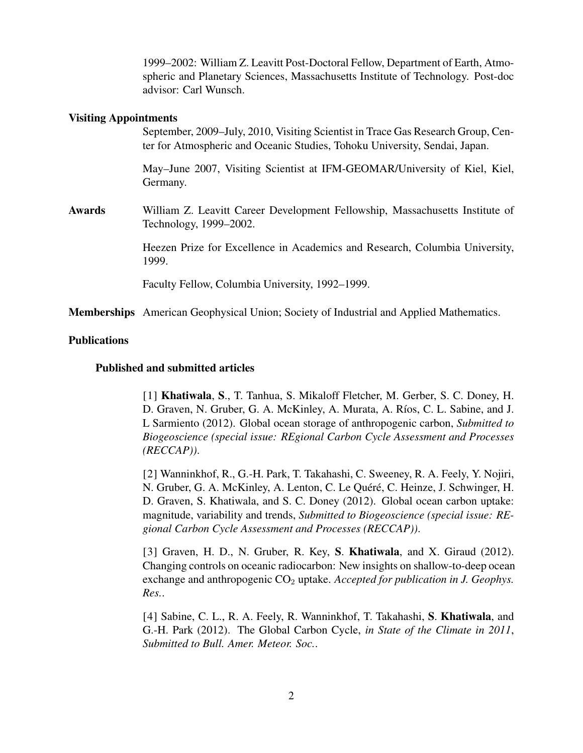1999–2002: William Z. Leavitt Post-Doctoral Fellow, Department of Earth, Atmospheric and Planetary Sciences, Massachusetts Institute of Technology. Post-doc advisor: Carl Wunsch.

### Visiting Appointments

September, 2009–July, 2010, Visiting Scientist in Trace Gas Research Group, Center for Atmospheric and Oceanic Studies, Tohoku University, Sendai, Japan.

May–June 2007, Visiting Scientist at IFM-GEOMAR/University of Kiel, Kiel, Germany.

Awards William Z. Leavitt Career Development Fellowship, Massachusetts Institute of Technology, 1999–2002.

> Heezen Prize for Excellence in Academics and Research, Columbia University, 1999.

Faculty Fellow, Columbia University, 1992–1999.

Memberships American Geophysical Union; Society of Industrial and Applied Mathematics.

### **Publications**

### Published and submitted articles

[1] Khatiwala, S., T. Tanhua, S. Mikaloff Fletcher, M. Gerber, S. C. Doney, H. D. Graven, N. Gruber, G. A. McKinley, A. Murata, A. Ríos, C. L. Sabine, and J. L Sarmiento (2012). Global ocean storage of anthropogenic carbon, *Submitted to Biogeoscience (special issue: REgional Carbon Cycle Assessment and Processes (RECCAP))*.

[2] Wanninkhof, R., G.-H. Park, T. Takahashi, C. Sweeney, R. A. Feely, Y. Nojiri, N. Gruber, G. A. McKinley, A. Lenton, C. Le Quéré, C. Heinze, J. Schwinger, H. D. Graven, S. Khatiwala, and S. C. Doney (2012). Global ocean carbon uptake: magnitude, variability and trends, *Submitted to Biogeoscience (special issue: REgional Carbon Cycle Assessment and Processes (RECCAP))*.

[3] Graven, H. D., N. Gruber, R. Key, S. Khatiwala, and X. Giraud (2012). Changing controls on oceanic radiocarbon: New insights on shallow-to-deep ocean exchange and anthropogenic  $CO<sub>2</sub>$  uptake. *Accepted for publication in J. Geophys. Res.*.

[4] Sabine, C. L., R. A. Feely, R. Wanninkhof, T. Takahashi, S. Khatiwala, and G.-H. Park (2012). The Global Carbon Cycle, *in State of the Climate in 2011*, *Submitted to Bull. Amer. Meteor. Soc.*.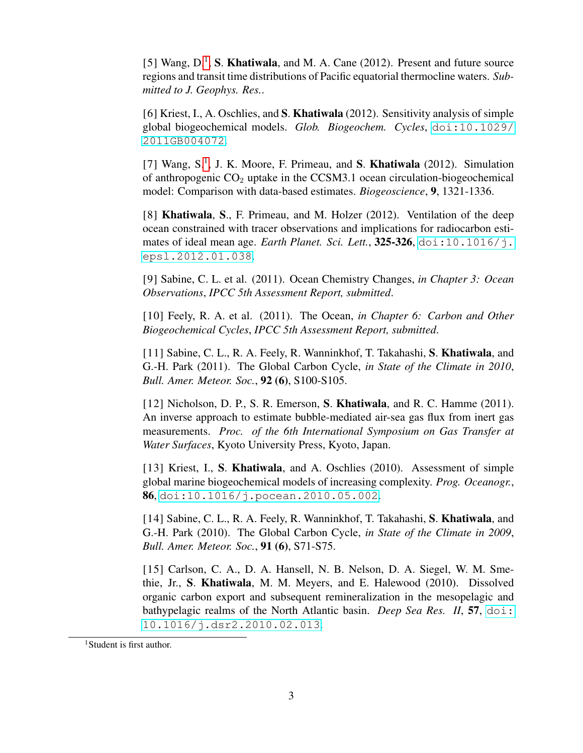[5] Wang,  $D<sup>1</sup>$  $D<sup>1</sup>$  $D<sup>1</sup>$ , S. Khatiwala, and M. A. Cane (2012). Present and future source regions and transit time distributions of Pacific equatorial thermocline waters. *Submitted to J. Geophys. Res.*.

[6] Kriest, I., A. Oschlies, and S. Khatiwala (2012). Sensitivity analysis of simple global biogeochemical models. *Glob. Biogeochem. Cycles*, [doi:10.1029/](doi: 10.1029/2011GB004072) [2011GB004072](doi: 10.1029/2011GB004072).

[7] Wang, S.<sup>[1](#page-0-0)</sup>, J. K. Moore, F. Primeau, and S. Khatiwala (2012). Simulation of anthropogenic  $CO<sub>2</sub>$  uptake in the CCSM3.1 ocean circulation-biogeochemical model: Comparison with data-based estimates. *Biogeoscience*, 9, 1321-1336.

[8] Khatiwala, S., F. Primeau, and M. Holzer (2012). Ventilation of the deep ocean constrained with tracer observations and implications for radiocarbon estimates of ideal mean age. *Earth Planet. Sci. Lett.*, 325-326, [doi:10.1016/j.](doi:10.1016/j.epsl.2012.01.038) [epsl.2012.01.038](doi:10.1016/j.epsl.2012.01.038).

[9] Sabine, C. L. et al. (2011). Ocean Chemistry Changes, *in Chapter 3: Ocean Observations*, *IPCC 5th Assessment Report, submitted*.

[10] Feely, R. A. et al. (2011). The Ocean, *in Chapter 6: Carbon and Other Biogeochemical Cycles*, *IPCC 5th Assessment Report, submitted*.

[11] Sabine, C. L., R. A. Feely, R. Wanninkhof, T. Takahashi, S. Khatiwala, and G.-H. Park (2011). The Global Carbon Cycle, *in State of the Climate in 2010*, *Bull. Amer. Meteor. Soc.*, 92 (6), S100-S105.

[12] Nicholson, D. P., S. R. Emerson, S. Khatiwala, and R. C. Hamme (2011). An inverse approach to estimate bubble-mediated air-sea gas flux from inert gas measurements. *Proc. of the 6th International Symposium on Gas Transfer at Water Surfaces*, Kyoto University Press, Kyoto, Japan.

[13] Kriest, I., S. Khatiwala, and A. Oschlies (2010). Assessment of simple global marine biogeochemical models of increasing complexity. *Prog. Oceanogr.*, 86, <doi:10.1016/j.pocean.2010.05.002>.

[14] Sabine, C. L., R. A. Feely, R. Wanninkhof, T. Takahashi, S. Khatiwala, and G.-H. Park (2010). The Global Carbon Cycle, *in State of the Climate in 2009*, *Bull. Amer. Meteor. Soc.*, 91 (6), S71-S75.

[15] Carlson, C. A., D. A. Hansell, N. B. Nelson, D. A. Siegel, W. M. Smethie, Jr., S. Khatiwala, M. M. Meyers, and E. Halewood (2010). Dissolved organic carbon export and subsequent remineralization in the mesopelagic and bathypelagic realms of the North Atlantic basin. *Deep Sea Res. II*, 57, [doi:](doi:10.1016/j.dsr2.2010.02.013) [10.1016/j.dsr2.2010.02.013](doi:10.1016/j.dsr2.2010.02.013).

<span id="page-2-0"></span><sup>&</sup>lt;sup>1</sup>Student is first author.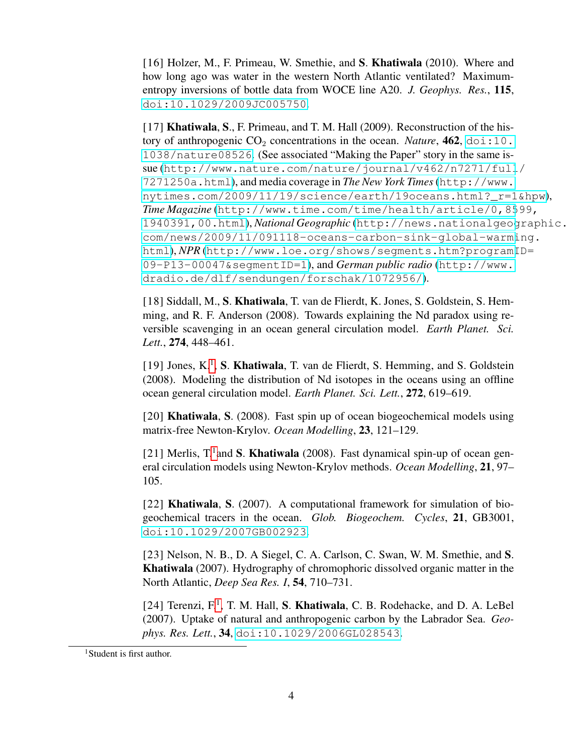[16] Holzer, M., F. Primeau, W. Smethie, and S. Khatiwala (2010). Where and how long ago was water in the western North Atlantic ventilated? Maximumentropy inversions of bottle data from WOCE line A20. *J. Geophys. Res.*, 115, <doi:10.1029/2009JC005750>.

[17] Khatiwala, S., F. Primeau, and T. M. Hall (2009). Reconstruction of the history of anthropogenic  $CO_2$  concentrations in the ocean. *Nature*, **462**, [doi:10.](doi: 10.1038/nature08526) [1038/nature08526](doi: 10.1038/nature08526). (See associated "Making the Paper" story in the same issue ([http://www.nature.com/nature/journal/v462/n7271/full](http://www.nature.com/nature/journal/v462/n7271/full/7271250a.html)/ [7271250a.html](http://www.nature.com/nature/journal/v462/n7271/full/7271250a.html)), and media coverage in *The New York Times*([http://www.](http://www.nytimes.com/2009/11/19/science/earth/19oceans.html?_r=1&hpw) [nytimes.com/2009/11/19/science/earth/19oceans.html?\\_r=1&hpw](http://www.nytimes.com/2009/11/19/science/earth/19oceans.html?_r=1&hpw)), *Time Magazine* ([http://www.time.com/time/health/article/0,85](http://www.time.com/time/health/article/0,8599,1940391,00.html)99, [1940391,00.html](http://www.time.com/time/health/article/0,8599,1940391,00.html)), *National Geographic* ([http://news.nationalgeog](http://news.nationalgeographic.com/news/2009/11/091118-oceans-carbon-sink-global-warming.html)raphic. [com/news/2009/11/091118-oceans-carbon-sink-global-warmi](http://news.nationalgeographic.com/news/2009/11/091118-oceans-carbon-sink-global-warming.html)ng. [html](http://news.nationalgeographic.com/news/2009/11/091118-oceans-carbon-sink-global-warming.html)), *NPR* ([http://www.loe.org/shows/segments.htm?programI](http://www.loe.org/shows/segments.htm?programID=09-P13-00047&segmentID=1)D= [09-P13-00047&segmentID=1](http://www.loe.org/shows/segments.htm?programID=09-P13-00047&segmentID=1)), and *German public radio* ([http://www.](http://www.dradio.de/dlf/sendungen/forschak/1072956/) [dradio.de/dlf/sendungen/forschak/1072956/](http://www.dradio.de/dlf/sendungen/forschak/1072956/)).

[18] Siddall, M., S. Khatiwala, T. van de Flierdt, K. Jones, S. Goldstein, S. Hemming, and R. F. Anderson (2008). Towards explaining the Nd paradox using reversible scavenging in an ocean general circulation model. *Earth Planet. Sci. Lett.*, 274, 448–461.

[[1](#page-3-0)9] Jones, K.<sup>1</sup>, S. Khatiwala, T. van de Flierdt, S. Hemming, and S. Goldstein (2008). Modeling the distribution of Nd isotopes in the oceans using an offline ocean general circulation model. *Earth Planet. Sci. Lett.*, 272, 619–619.

[20] Khatiwala, S. (2008). Fast spin up of ocean biogeochemical models using matrix-free Newton-Krylov. *Ocean Modelling*, 23, 121–129.

[2[1](#page-0-0)] Merlis, T.<sup>1</sup> and S. Khatiwala (2008). Fast dynamical spin-up of ocean general circulation models using Newton-Krylov methods. *Ocean Modelling*, 21, 97– 105.

[22] Khatiwala, S. (2007). A computational framework for simulation of biogeochemical tracers in the ocean. *Glob. Biogeochem. Cycles*, 21, GB3001, <doi:10.1029/2007GB002923>.

[23] Nelson, N. B., D. A Siegel, C. A. Carlson, C. Swan, W. M. Smethie, and S. Khatiwala (2007). Hydrography of chromophoric dissolved organic matter in the North Atlantic, *Deep Sea Res. I*, 54, 710–731.

[24] Terenzi, F.<sup>[1](#page-0-0)</sup>, T. M. Hall, S. Khatiwala, C. B. Rodehacke, and D. A. LeBel (2007). Uptake of natural and anthropogenic carbon by the Labrador Sea. *Geophys. Res. Lett.*, 34, <doi:10.1029/2006GL028543>.

<span id="page-3-0"></span><sup>&</sup>lt;sup>1</sup>Student is first author.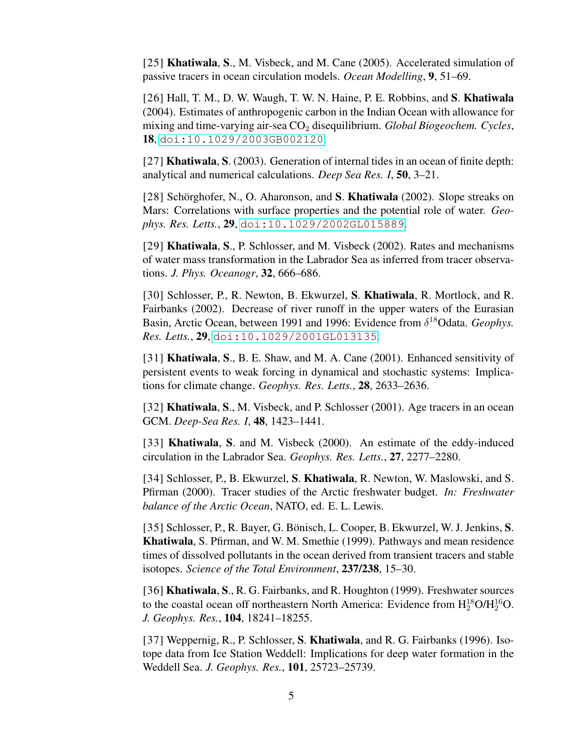[25] Khatiwala, S., M. Visbeck, and M. Cane (2005). Accelerated simulation of passive tracers in ocean circulation models. *Ocean Modelling*, 9, 51–69.

[26] Hall, T. M., D. W. Waugh, T. W. N. Haine, P. E. Robbins, and S. Khatiwala (2004). Estimates of anthropogenic carbon in the Indian Ocean with allowance for mixing and time-varying air-sea CO<sup>2</sup> disequilibrium. *Global Biogeochem. Cycles*, 18, <doi:10.1029/2003GB002120>.

[27] Khatiwala, S. (2003). Generation of internal tides in an ocean of finite depth: analytical and numerical calculations. *Deep Sea Res. I*, 50, 3–21.

[28] Schörghofer, N., O. Aharonson, and **S. Khatiwala** (2002). Slope streaks on Mars: Correlations with surface properties and the potential role of water. *Geophys. Res. Letts.*, 29, <doi:10.1029/2002GL015889>.

[29] Khatiwala, S., P. Schlosser, and M. Visbeck (2002). Rates and mechanisms of water mass transformation in the Labrador Sea as inferred from tracer observations. *J. Phys. Oceanogr*, 32, 666–686.

[30] Schlosser, P., R. Newton, B. Ekwurzel, S. Khatiwala, R. Mortlock, and R. Fairbanks (2002). Decrease of river runoff in the upper waters of the Eurasian Basin, Arctic Ocean, between 1991 and 1996: Evidence from δ<sup>18</sup>Odata. *Geophys*. *Res. Letts.*, 29, <doi:10.1029/2001GL013135>.

[31] **Khatiwala, S., B. E. Shaw, and M. A. Cane (2001). Enhanced sensitivity of** persistent events to weak forcing in dynamical and stochastic systems: Implications for climate change. *Geophys. Res. Letts.*, 28, 2633–2636.

[32] Khatiwala, S., M. Visbeck, and P. Schlosser (2001). Age tracers in an ocean GCM. *Deep-Sea Res. I*, 48, 1423–1441.

[33] Khatiwala, S. and M. Visbeck (2000). An estimate of the eddy-induced circulation in the Labrador Sea. *Geophys. Res. Letts.*, 27, 2277–2280.

[34] Schlosser, P., B. Ekwurzel, S. Khatiwala, R. Newton, W. Maslowski, and S. Pfirman (2000). Tracer studies of the Arctic freshwater budget. *In: Freshwater balance of the Arctic Ocean*, NATO, ed. E. L. Lewis.

[35] Schlosser, P., R. Bayer, G. Bönisch, L. Cooper, B. Ekwurzel, W. J. Jenkins, S. Khatiwala, S. Pfirman, and W. M. Smethie (1999). Pathways and mean residence times of dissolved pollutants in the ocean derived from transient tracers and stable isotopes. *Science of the Total Environment*, 237/238, 15–30.

[36] Khatiwala, S., R. G. Fairbanks, and R. Houghton (1999). Freshwater sources to the coastal ocean off northeastern North America: Evidence from  $H_2^{18}O/H_2^{16}O$ . *J. Geophys. Res.*, 104, 18241–18255.

[37] Weppernig, R., P. Schlosser, S. Khatiwala, and R. G. Fairbanks (1996). Isotope data from Ice Station Weddell: Implications for deep water formation in the Weddell Sea. *J. Geophys. Res.*, 101, 25723–25739.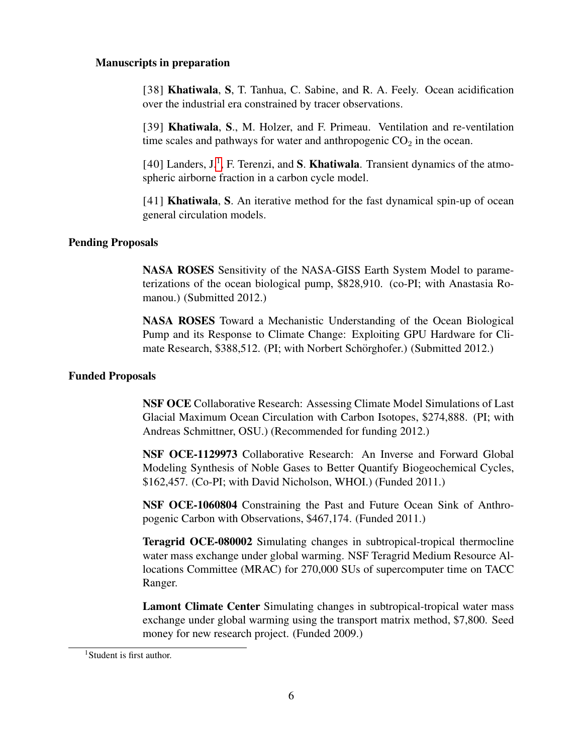# Manuscripts in preparation

[38] Khatiwala, S, T. Tanhua, C. Sabine, and R. A. Feely. Ocean acidification over the industrial era constrained by tracer observations.

[39] Khatiwala, S., M. Holzer, and F. Primeau. Ventilation and re-ventilation time scales and pathways for water and anthropogenic  $CO<sub>2</sub>$  in the ocean.

[40] Landers, J.<sup>[1](#page-5-0)</sup>, F. Terenzi, and S. Khatiwala. Transient dynamics of the atmospheric airborne fraction in a carbon cycle model.

[41] Khatiwala, S. An iterative method for the fast dynamical spin-up of ocean general circulation models.

### Pending Proposals

NASA ROSES Sensitivity of the NASA-GISS Earth System Model to parameterizations of the ocean biological pump, \$828,910. (co-PI; with Anastasia Romanou.) (Submitted 2012.)

NASA ROSES Toward a Mechanistic Understanding of the Ocean Biological Pump and its Response to Climate Change: Exploiting GPU Hardware for Climate Research, \$388,512. (PI; with Norbert Schörghofer.) (Submitted 2012.)

# Funded Proposals

NSF OCE Collaborative Research: Assessing Climate Model Simulations of Last Glacial Maximum Ocean Circulation with Carbon Isotopes, \$274,888. (PI; with Andreas Schmittner, OSU.) (Recommended for funding 2012.)

NSF OCE-1129973 Collaborative Research: An Inverse and Forward Global Modeling Synthesis of Noble Gases to Better Quantify Biogeochemical Cycles, \$162,457. (Co-PI; with David Nicholson, WHOI.) (Funded 2011.)

NSF OCE-1060804 Constraining the Past and Future Ocean Sink of Anthropogenic Carbon with Observations, \$467,174. (Funded 2011.)

Teragrid OCE-080002 Simulating changes in subtropical-tropical thermocline water mass exchange under global warming. NSF Teragrid Medium Resource Allocations Committee (MRAC) for 270,000 SUs of supercomputer time on TACC Ranger.

Lamont Climate Center Simulating changes in subtropical-tropical water mass exchange under global warming using the transport matrix method, \$7,800. Seed money for new research project. (Funded 2009.)

<span id="page-5-0"></span><sup>&</sup>lt;sup>1</sup>Student is first author.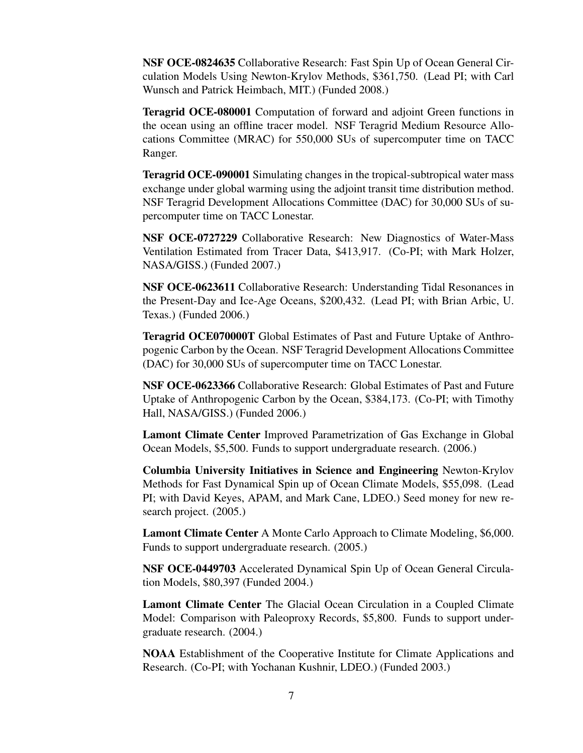NSF OCE-0824635 Collaborative Research: Fast Spin Up of Ocean General Circulation Models Using Newton-Krylov Methods, \$361,750. (Lead PI; with Carl Wunsch and Patrick Heimbach, MIT.) (Funded 2008.)

Teragrid OCE-080001 Computation of forward and adjoint Green functions in the ocean using an offline tracer model. NSF Teragrid Medium Resource Allocations Committee (MRAC) for 550,000 SUs of supercomputer time on TACC Ranger.

Teragrid OCE-090001 Simulating changes in the tropical-subtropical water mass exchange under global warming using the adjoint transit time distribution method. NSF Teragrid Development Allocations Committee (DAC) for 30,000 SUs of supercomputer time on TACC Lonestar.

NSF OCE-0727229 Collaborative Research: New Diagnostics of Water-Mass Ventilation Estimated from Tracer Data, \$413,917. (Co-PI; with Mark Holzer, NASA/GISS.) (Funded 2007.)

NSF OCE-0623611 Collaborative Research: Understanding Tidal Resonances in the Present-Day and Ice-Age Oceans, \$200,432. (Lead PI; with Brian Arbic, U. Texas.) (Funded 2006.)

Teragrid OCE070000T Global Estimates of Past and Future Uptake of Anthropogenic Carbon by the Ocean. NSF Teragrid Development Allocations Committee (DAC) for 30,000 SUs of supercomputer time on TACC Lonestar.

NSF OCE-0623366 Collaborative Research: Global Estimates of Past and Future Uptake of Anthropogenic Carbon by the Ocean, \$384,173. (Co-PI; with Timothy Hall, NASA/GISS.) (Funded 2006.)

Lamont Climate Center Improved Parametrization of Gas Exchange in Global Ocean Models, \$5,500. Funds to support undergraduate research. (2006.)

Columbia University Initiatives in Science and Engineering Newton-Krylov Methods for Fast Dynamical Spin up of Ocean Climate Models, \$55,098. (Lead PI; with David Keyes, APAM, and Mark Cane, LDEO.) Seed money for new research project. (2005.)

Lamont Climate Center A Monte Carlo Approach to Climate Modeling, \$6,000. Funds to support undergraduate research. (2005.)

NSF OCE-0449703 Accelerated Dynamical Spin Up of Ocean General Circulation Models, \$80,397 (Funded 2004.)

Lamont Climate Center The Glacial Ocean Circulation in a Coupled Climate Model: Comparison with Paleoproxy Records, \$5,800. Funds to support undergraduate research. (2004.)

NOAA Establishment of the Cooperative Institute for Climate Applications and Research. (Co-PI; with Yochanan Kushnir, LDEO.) (Funded 2003.)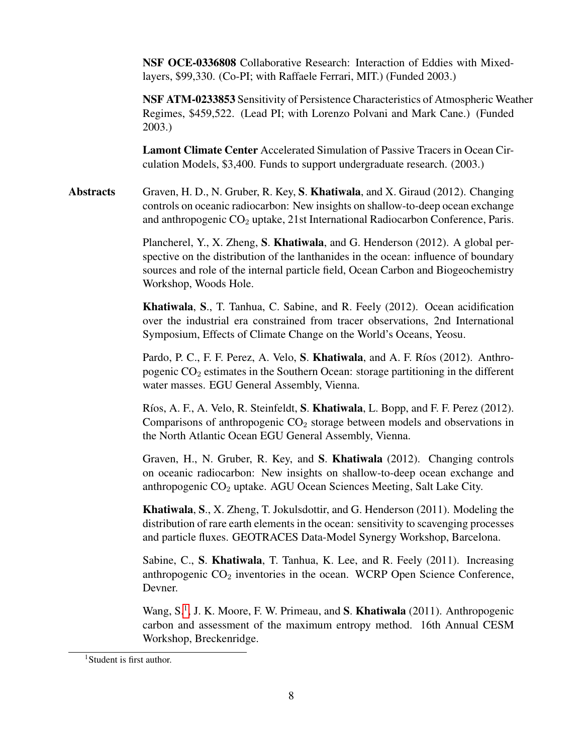NSF OCE-0336808 Collaborative Research: Interaction of Eddies with Mixedlayers, \$99,330. (Co-PI; with Raffaele Ferrari, MIT.) (Funded 2003.)

NSF ATM-0233853 Sensitivity of Persistence Characteristics of Atmospheric Weather Regimes, \$459,522. (Lead PI; with Lorenzo Polvani and Mark Cane.) (Funded 2003.)

Lamont Climate Center Accelerated Simulation of Passive Tracers in Ocean Circulation Models, \$3,400. Funds to support undergraduate research. (2003.)

Abstracts Graven, H. D., N. Gruber, R. Key, S. Khatiwala, and X. Giraud (2012). Changing controls on oceanic radiocarbon: New insights on shallow-to-deep ocean exchange and anthropogenic  $CO<sub>2</sub>$  uptake, 21st International Radiocarbon Conference, Paris.

> Plancherel, Y., X. Zheng, S. Khatiwala, and G. Henderson (2012). A global perspective on the distribution of the lanthanides in the ocean: influence of boundary sources and role of the internal particle field, Ocean Carbon and Biogeochemistry Workshop, Woods Hole.

> Khatiwala, S., T. Tanhua, C. Sabine, and R. Feely (2012). Ocean acidification over the industrial era constrained from tracer observations, 2nd International Symposium, Effects of Climate Change on the World's Oceans, Yeosu.

> Pardo, P. C., F. F. Perez, A. Velo, S. Khatiwala, and A. F. Ríos (2012). Anthropogenic  $CO<sub>2</sub>$  estimates in the Southern Ocean: storage partitioning in the different water masses. EGU General Assembly, Vienna.

> Ríos, A. F., A. Velo, R. Steinfeldt, S. Khatiwala, L. Bopp, and F. F. Perez (2012). Comparisons of anthropogenic  $CO<sub>2</sub>$  storage between models and observations in the North Atlantic Ocean EGU General Assembly, Vienna.

> Graven, H., N. Gruber, R. Key, and S. Khatiwala (2012). Changing controls on oceanic radiocarbon: New insights on shallow-to-deep ocean exchange and anthropogenic  $CO<sub>2</sub>$  uptake. AGU Ocean Sciences Meeting, Salt Lake City.

> Khatiwala, S., X. Zheng, T. Jokulsdottir, and G. Henderson (2011). Modeling the distribution of rare earth elements in the ocean: sensitivity to scavenging processes and particle fluxes. GEOTRACES Data-Model Synergy Workshop, Barcelona.

> Sabine, C., S. Khatiwala, T. Tanhua, K. Lee, and R. Feely (2011). Increasing anthropogenic  $CO<sub>2</sub>$  inventories in the ocean. WCRP Open Science Conference, Devner.

> Wang, S.<sup>[1](#page-7-0)</sup>, J. K. Moore, F. W. Primeau, and S. Khatiwala (2011). Anthropogenic carbon and assessment of the maximum entropy method. 16th Annual CESM Workshop, Breckenridge.

<span id="page-7-0"></span><sup>&</sup>lt;sup>1</sup>Student is first author.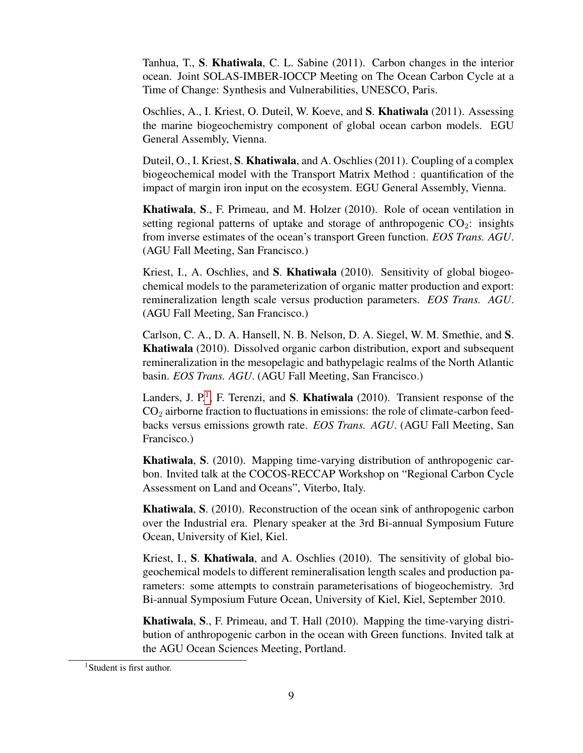Tanhua, T., S. Khatiwala, C. L. Sabine (2011). Carbon changes in the interior ocean. Joint SOLAS-IMBER-IOCCP Meeting on The Ocean Carbon Cycle at a Time of Change: Synthesis and Vulnerabilities, UNESCO, Paris.

Oschlies, A., I. Kriest, O. Duteil, W. Koeve, and S. Khatiwala (2011). Assessing the marine biogeochemistry component of global ocean carbon models. EGU General Assembly, Vienna.

Duteil, O., I. Kriest, S. Khatiwala, and A. Oschlies (2011). Coupling of a complex biogeochemical model with the Transport Matrix Method : quantification of the impact of margin iron input on the ecosystem. EGU General Assembly, Vienna.

Khatiwala, S., F. Primeau, and M. Holzer (2010). Role of ocean ventilation in setting regional patterns of uptake and storage of anthropogenic  $CO<sub>2</sub>$ : insights from inverse estimates of the ocean's transport Green function. *EOS Trans. AGU*. (AGU Fall Meeting, San Francisco.)

Kriest, I., A. Oschlies, and S. Khatiwala (2010). Sensitivity of global biogeochemical models to the parameterization of organic matter production and export: remineralization length scale versus production parameters. *EOS Trans. AGU*. (AGU Fall Meeting, San Francisco.)

Carlson, C. A., D. A. Hansell, N. B. Nelson, D. A. Siegel, W. M. Smethie, and S. Khatiwala (2010). Dissolved organic carbon distribution, export and subsequent remineralization in the mesopelagic and bathypelagic realms of the North Atlantic basin. *EOS Trans. AGU*. (AGU Fall Meeting, San Francisco.)

Landers, J. P.<sup>[1](#page-8-0)</sup>, F. Terenzi, and S. Khatiwala (2010). Transient response of the  $CO<sub>2</sub>$  airborne fraction to fluctuations in emissions: the role of climate-carbon feedbacks versus emissions growth rate. *EOS Trans. AGU*. (AGU Fall Meeting, San Francisco.)

Khatiwala, S. (2010). Mapping time-varying distribution of anthropogenic carbon. Invited talk at the COCOS-RECCAP Workshop on "Regional Carbon Cycle Assessment on Land and Oceans", Viterbo, Italy.

Khatiwala, S. (2010). Reconstruction of the ocean sink of anthropogenic carbon over the Industrial era. Plenary speaker at the 3rd Bi-annual Symposium Future Ocean, University of Kiel, Kiel.

Kriest, I., S. Khatiwala, and A. Oschlies (2010). The sensitivity of global biogeochemical models to different remineralisation length scales and production parameters: some attempts to constrain parameterisations of biogeochemistry. 3rd Bi-annual Symposium Future Ocean, University of Kiel, Kiel, September 2010.

Khatiwala, S., F. Primeau, and T. Hall (2010). Mapping the time-varying distribution of anthropogenic carbon in the ocean with Green functions. Invited talk at the AGU Ocean Sciences Meeting, Portland.

<span id="page-8-0"></span><sup>&</sup>lt;sup>1</sup>Student is first author.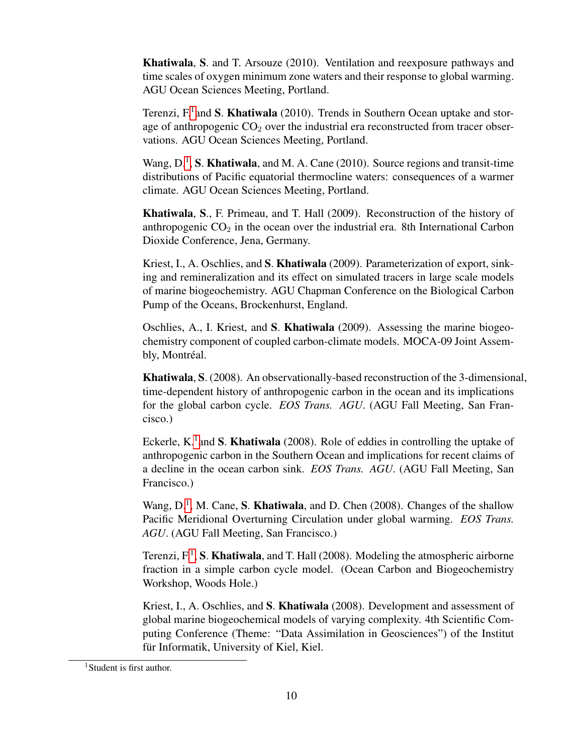Khatiwala, S. and T. Arsouze (2010). Ventilation and reexposure pathways and time scales of oxygen minimum zone waters and their response to global warming. AGU Ocean Sciences Meeting, Portland.

Terenzi, F.<sup>[1](#page-9-0)</sup> and S. Khatiwala (2010). Trends in Southern Ocean uptake and storage of anthropogenic  $CO<sub>2</sub>$  over the industrial era reconstructed from tracer observations. AGU Ocean Sciences Meeting, Portland.

Wang,  $D<sup>1</sup>$  $D<sup>1</sup>$  $D<sup>1</sup>$ , S. Khatiwala, and M. A. Cane (2010). Source regions and transit-time distributions of Pacific equatorial thermocline waters: consequences of a warmer climate. AGU Ocean Sciences Meeting, Portland.

Khatiwala, S., F. Primeau, and T. Hall (2009). Reconstruction of the history of anthropogenic  $CO<sub>2</sub>$  in the ocean over the industrial era. 8th International Carbon Dioxide Conference, Jena, Germany.

Kriest, I., A. Oschlies, and S. Khatiwala (2009). Parameterization of export, sinking and remineralization and its effect on simulated tracers in large scale models of marine biogeochemistry. AGU Chapman Conference on the Biological Carbon Pump of the Oceans, Brockenhurst, England.

Oschlies, A., I. Kriest, and S. Khatiwala (2009). Assessing the marine biogeochemistry component of coupled carbon-climate models. MOCA-09 Joint Assembly, Montréal.

Khatiwala, S. (2008). An observationally-based reconstruction of the 3-dimensional, time-dependent history of anthropogenic carbon in the ocean and its implications for the global carbon cycle. *EOS Trans. AGU*. (AGU Fall Meeting, San Francisco.)

Eckerle, K.<sup>[1](#page-0-0)</sup> and S. **Khatiwala** (2008). Role of eddies in controlling the uptake of anthropogenic carbon in the Southern Ocean and implications for recent claims of a decline in the ocean carbon sink. *EOS Trans. AGU*. (AGU Fall Meeting, San Francisco.)

Wang, D.<sup>[1](#page-0-0)</sup>, M. Cane, S. Khatiwala, and D. Chen (2008). Changes of the shallow Pacific Meridional Overturning Circulation under global warming. *EOS Trans. AGU*. (AGU Fall Meeting, San Francisco.)

Terenzi, F.<sup>[1](#page-0-0)</sup>, S. Khatiwala, and T. Hall (2008). Modeling the atmospheric airborne fraction in a simple carbon cycle model. (Ocean Carbon and Biogeochemistry Workshop, Woods Hole.)

Kriest, I., A. Oschlies, and S. Khatiwala (2008). Development and assessment of global marine biogeochemical models of varying complexity. 4th Scientific Computing Conference (Theme: "Data Assimilation in Geosciences") of the Institut für Informatik, University of Kiel, Kiel.

<span id="page-9-0"></span><sup>&</sup>lt;sup>1</sup>Student is first author.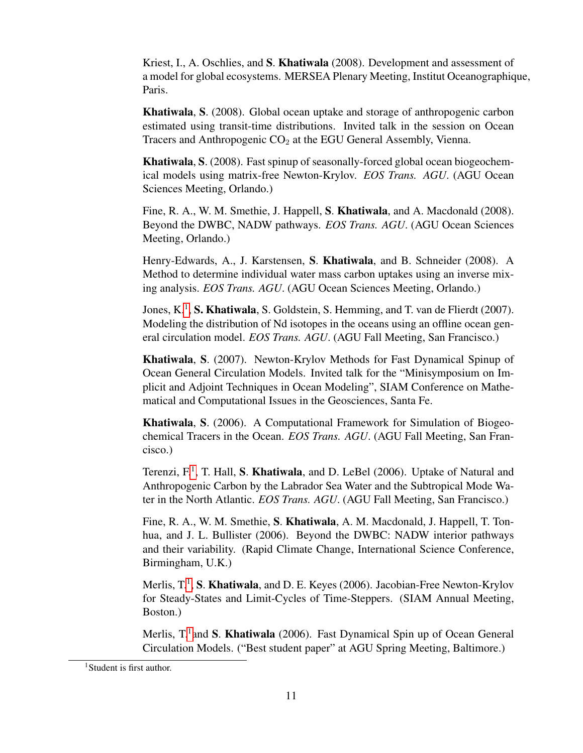Kriest, I., A. Oschlies, and S. Khatiwala (2008). Development and assessment of a model for global ecosystems. MERSEA Plenary Meeting, Institut Oceanographique, Paris.

Khatiwala, S. (2008). Global ocean uptake and storage of anthropogenic carbon estimated using transit-time distributions. Invited talk in the session on Ocean Tracers and Anthropogenic  $CO<sub>2</sub>$  at the EGU General Assembly, Vienna.

Khatiwala, S. (2008). Fast spinup of seasonally-forced global ocean biogeochemical models using matrix-free Newton-Krylov. *EOS Trans. AGU*. (AGU Ocean Sciences Meeting, Orlando.)

Fine, R. A., W. M. Smethie, J. Happell, S. Khatiwala, and A. Macdonald (2008). Beyond the DWBC, NADW pathways. *EOS Trans. AGU*. (AGU Ocean Sciences Meeting, Orlando.)

Henry-Edwards, A., J. Karstensen, S. Khatiwala, and B. Schneider (2008). A Method to determine individual water mass carbon uptakes using an inverse mixing analysis. *EOS Trans. AGU*. (AGU Ocean Sciences Meeting, Orlando.)

Jones, K.<sup>[1](#page-10-0)</sup>, S. Khatiwala, S. Goldstein, S. Hemming, and T. van de Flierdt (2007). Modeling the distribution of Nd isotopes in the oceans using an offline ocean general circulation model. *EOS Trans. AGU*. (AGU Fall Meeting, San Francisco.)

Khatiwala, S. (2007). Newton-Krylov Methods for Fast Dynamical Spinup of Ocean General Circulation Models. Invited talk for the "Minisymposium on Implicit and Adjoint Techniques in Ocean Modeling", SIAM Conference on Mathematical and Computational Issues in the Geosciences, Santa Fe.

Khatiwala, S. (2006). A Computational Framework for Simulation of Biogeochemical Tracers in the Ocean. *EOS Trans. AGU*. (AGU Fall Meeting, San Francisco.)

Terenzi, F.<sup>[1](#page-0-0)</sup>, T. Hall, S. Khatiwala, and D. LeBel (2006). Uptake of Natural and Anthropogenic Carbon by the Labrador Sea Water and the Subtropical Mode Water in the North Atlantic. *EOS Trans. AGU*. (AGU Fall Meeting, San Francisco.)

Fine, R. A., W. M. Smethie, S. Khatiwala, A. M. Macdonald, J. Happell, T. Tonhua, and J. L. Bullister (2006). Beyond the DWBC: NADW interior pathways and their variability. (Rapid Climate Change, International Science Conference, Birmingham, U.K.)

Merlis, T.<sup>[1](#page-0-0)</sup>, S. Khatiwala, and D. E. Keyes (2006). Jacobian-Free Newton-Krylov for Steady-States and Limit-Cycles of Time-Steppers. (SIAM Annual Meeting, Boston.)

Merlis, T.<sup>[1](#page-0-0)</sup> and S. Khatiwala (2006). Fast Dynamical Spin up of Ocean General Circulation Models. ("Best student paper" at AGU Spring Meeting, Baltimore.)

<span id="page-10-0"></span><sup>&</sup>lt;sup>1</sup>Student is first author.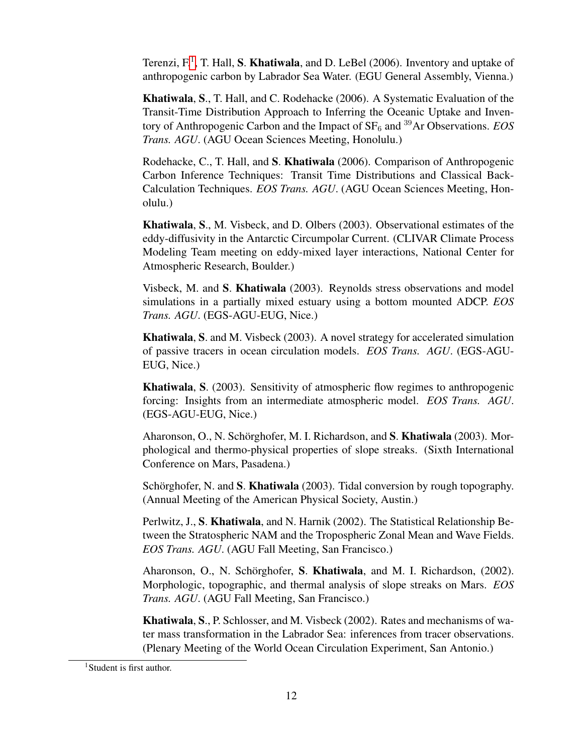Terenzi, F.<sup>[1](#page-11-0)</sup>, T. Hall, S. Khatiwala, and D. LeBel (2006). Inventory and uptake of anthropogenic carbon by Labrador Sea Water. (EGU General Assembly, Vienna.)

Khatiwala, S., T. Hall, and C. Rodehacke (2006). A Systematic Evaluation of the Transit-Time Distribution Approach to Inferring the Oceanic Uptake and Inventory of Anthropogenic Carbon and the Impact of  $SF_6$  and <sup>39</sup>Ar Observations. *EOS Trans. AGU*. (AGU Ocean Sciences Meeting, Honolulu.)

Rodehacke, C., T. Hall, and S. Khatiwala (2006). Comparison of Anthropogenic Carbon Inference Techniques: Transit Time Distributions and Classical Back-Calculation Techniques. *EOS Trans. AGU*. (AGU Ocean Sciences Meeting, Honolulu.)

Khatiwala, S., M. Visbeck, and D. Olbers (2003). Observational estimates of the eddy-diffusivity in the Antarctic Circumpolar Current. (CLIVAR Climate Process Modeling Team meeting on eddy-mixed layer interactions, National Center for Atmospheric Research, Boulder.)

Visbeck, M. and S. Khatiwala (2003). Reynolds stress observations and model simulations in a partially mixed estuary using a bottom mounted ADCP. *EOS Trans. AGU*. (EGS-AGU-EUG, Nice.)

Khatiwala, S. and M. Visbeck (2003). A novel strategy for accelerated simulation of passive tracers in ocean circulation models. *EOS Trans. AGU*. (EGS-AGU-EUG, Nice.)

Khatiwala, S. (2003). Sensitivity of atmospheric flow regimes to anthropogenic forcing: Insights from an intermediate atmospheric model. *EOS Trans. AGU*. (EGS-AGU-EUG, Nice.)

Aharonson, O., N. Schörghofer, M. I. Richardson, and S. Khatiwala (2003). Morphological and thermo-physical properties of slope streaks. (Sixth International Conference on Mars, Pasadena.)

Schörghofer, N. and S. Khatiwala (2003). Tidal conversion by rough topography. (Annual Meeting of the American Physical Society, Austin.)

Perlwitz, J., S. Khatiwala, and N. Harnik (2002). The Statistical Relationship Between the Stratospheric NAM and the Tropospheric Zonal Mean and Wave Fields. *EOS Trans. AGU*. (AGU Fall Meeting, San Francisco.)

Aharonson, O., N. Schörghofer, S. Khatiwala, and M. I. Richardson, (2002). Morphologic, topographic, and thermal analysis of slope streaks on Mars. *EOS Trans. AGU*. (AGU Fall Meeting, San Francisco.)

Khatiwala, S., P. Schlosser, and M. Visbeck (2002). Rates and mechanisms of water mass transformation in the Labrador Sea: inferences from tracer observations. (Plenary Meeting of the World Ocean Circulation Experiment, San Antonio.)

<span id="page-11-0"></span><sup>&</sup>lt;sup>1</sup>Student is first author.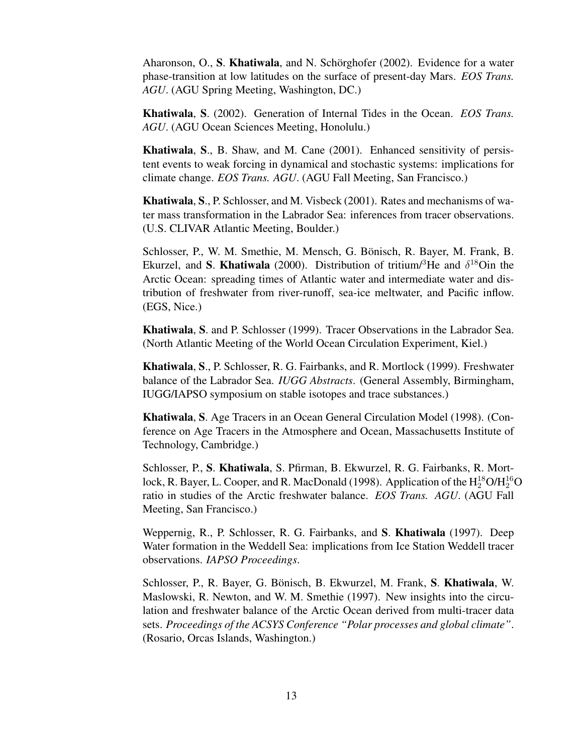Aharonson, O., S. Khatiwala, and N. Schörghofer (2002). Evidence for a water phase-transition at low latitudes on the surface of present-day Mars. *EOS Trans. AGU*. (AGU Spring Meeting, Washington, DC.)

Khatiwala, S. (2002). Generation of Internal Tides in the Ocean. *EOS Trans. AGU*. (AGU Ocean Sciences Meeting, Honolulu.)

Khatiwala, S., B. Shaw, and M. Cane (2001). Enhanced sensitivity of persistent events to weak forcing in dynamical and stochastic systems: implications for climate change. *EOS Trans. AGU*. (AGU Fall Meeting, San Francisco.)

Khatiwala, S., P. Schlosser, and M. Visbeck (2001). Rates and mechanisms of water mass transformation in the Labrador Sea: inferences from tracer observations. (U.S. CLIVAR Atlantic Meeting, Boulder.)

Schlosser, P., W. M. Smethie, M. Mensch, G. Bonisch, R. Bayer, M. Frank, B. ¨ Ekurzel, and S. Khatiwala (2000). Distribution of tritium/<sup>3</sup>He and  $\delta^{18}$ Oin the Arctic Ocean: spreading times of Atlantic water and intermediate water and distribution of freshwater from river-runoff, sea-ice meltwater, and Pacific inflow. (EGS, Nice.)

Khatiwala, S. and P. Schlosser (1999). Tracer Observations in the Labrador Sea. (North Atlantic Meeting of the World Ocean Circulation Experiment, Kiel.)

Khatiwala, S., P. Schlosser, R. G. Fairbanks, and R. Mortlock (1999). Freshwater balance of the Labrador Sea. *IUGG Abstracts*. (General Assembly, Birmingham, IUGG/IAPSO symposium on stable isotopes and trace substances.)

Khatiwala, S. Age Tracers in an Ocean General Circulation Model (1998). (Conference on Age Tracers in the Atmosphere and Ocean, Massachusetts Institute of Technology, Cambridge.)

Schlosser, P., S. Khatiwala, S. Pfirman, B. Ekwurzel, R. G. Fairbanks, R. Mortlock, R. Bayer, L. Cooper, and R. MacDonald (1998). Application of the  $\rm H_2^{18}O/H_2^{16}O$ ratio in studies of the Arctic freshwater balance. *EOS Trans. AGU*. (AGU Fall Meeting, San Francisco.)

Weppernig, R., P. Schlosser, R. G. Fairbanks, and S. Khatiwala (1997). Deep Water formation in the Weddell Sea: implications from Ice Station Weddell tracer observations. *IAPSO Proceedings*.

Schlosser, P., R. Bayer, G. Bönisch, B. Ekwurzel, M. Frank, S. Khatiwala, W. Maslowski, R. Newton, and W. M. Smethie (1997). New insights into the circulation and freshwater balance of the Arctic Ocean derived from multi-tracer data sets. *Proceedings of the ACSYS Conference "Polar processes and global climate"*. (Rosario, Orcas Islands, Washington.)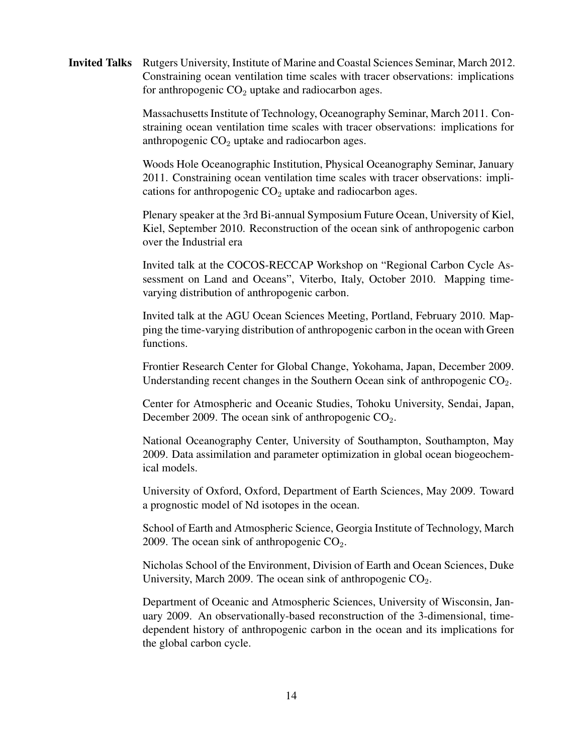Invited Talks Rutgers University, Institute of Marine and Coastal Sciences Seminar, March 2012. Constraining ocean ventilation time scales with tracer observations: implications for anthropogenic  $CO<sub>2</sub>$  uptake and radiocarbon ages.

> Massachusetts Institute of Technology, Oceanography Seminar, March 2011. Constraining ocean ventilation time scales with tracer observations: implications for anthropogenic  $CO<sub>2</sub>$  uptake and radiocarbon ages.

> Woods Hole Oceanographic Institution, Physical Oceanography Seminar, January 2011. Constraining ocean ventilation time scales with tracer observations: implications for anthropogenic  $CO<sub>2</sub>$  uptake and radiocarbon ages.

> Plenary speaker at the 3rd Bi-annual Symposium Future Ocean, University of Kiel, Kiel, September 2010. Reconstruction of the ocean sink of anthropogenic carbon over the Industrial era

> Invited talk at the COCOS-RECCAP Workshop on "Regional Carbon Cycle Assessment on Land and Oceans", Viterbo, Italy, October 2010. Mapping timevarying distribution of anthropogenic carbon.

> Invited talk at the AGU Ocean Sciences Meeting, Portland, February 2010. Mapping the time-varying distribution of anthropogenic carbon in the ocean with Green functions.

> Frontier Research Center for Global Change, Yokohama, Japan, December 2009. Understanding recent changes in the Southern Ocean sink of anthropogenic  $CO<sub>2</sub>$ .

> Center for Atmospheric and Oceanic Studies, Tohoku University, Sendai, Japan, December 2009. The ocean sink of anthropogenic  $CO<sub>2</sub>$ .

> National Oceanography Center, University of Southampton, Southampton, May 2009. Data assimilation and parameter optimization in global ocean biogeochemical models.

> University of Oxford, Oxford, Department of Earth Sciences, May 2009. Toward a prognostic model of Nd isotopes in the ocean.

> School of Earth and Atmospheric Science, Georgia Institute of Technology, March 2009. The ocean sink of anthropogenic  $CO<sub>2</sub>$ .

> Nicholas School of the Environment, Division of Earth and Ocean Sciences, Duke University, March 2009. The ocean sink of anthropogenic  $CO<sub>2</sub>$ .

> Department of Oceanic and Atmospheric Sciences, University of Wisconsin, January 2009. An observationally-based reconstruction of the 3-dimensional, timedependent history of anthropogenic carbon in the ocean and its implications for the global carbon cycle.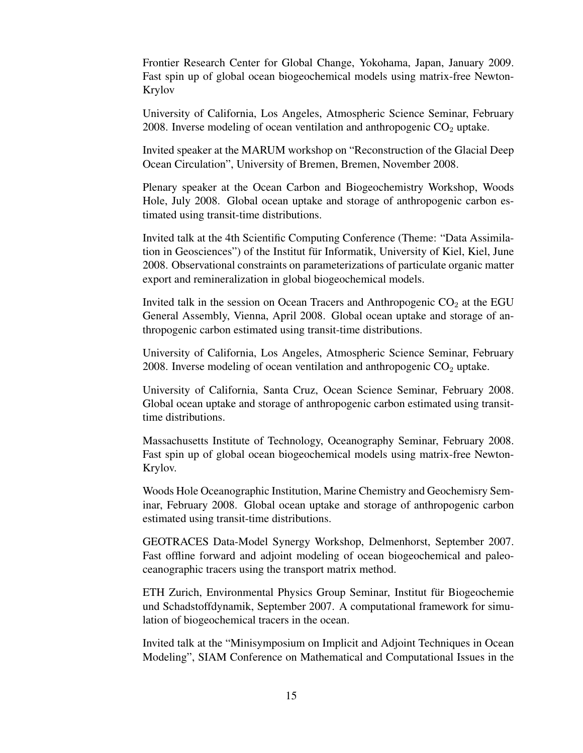Frontier Research Center for Global Change, Yokohama, Japan, January 2009. Fast spin up of global ocean biogeochemical models using matrix-free Newton-Krylov

University of California, Los Angeles, Atmospheric Science Seminar, February 2008. Inverse modeling of ocean ventilation and anthropogenic  $CO<sub>2</sub>$  uptake.

Invited speaker at the MARUM workshop on "Reconstruction of the Glacial Deep Ocean Circulation", University of Bremen, Bremen, November 2008.

Plenary speaker at the Ocean Carbon and Biogeochemistry Workshop, Woods Hole, July 2008. Global ocean uptake and storage of anthropogenic carbon estimated using transit-time distributions.

Invited talk at the 4th Scientific Computing Conference (Theme: "Data Assimilation in Geosciences") of the Institut für Informatik, University of Kiel, Kiel, June 2008. Observational constraints on parameterizations of particulate organic matter export and remineralization in global biogeochemical models.

Invited talk in the session on Ocean Tracers and Anthropogenic  $CO<sub>2</sub>$  at the EGU General Assembly, Vienna, April 2008. Global ocean uptake and storage of anthropogenic carbon estimated using transit-time distributions.

University of California, Los Angeles, Atmospheric Science Seminar, February 2008. Inverse modeling of ocean ventilation and anthropogenic  $CO<sub>2</sub>$  uptake.

University of California, Santa Cruz, Ocean Science Seminar, February 2008. Global ocean uptake and storage of anthropogenic carbon estimated using transittime distributions.

Massachusetts Institute of Technology, Oceanography Seminar, February 2008. Fast spin up of global ocean biogeochemical models using matrix-free Newton-Krylov.

Woods Hole Oceanographic Institution, Marine Chemistry and Geochemisry Seminar, February 2008. Global ocean uptake and storage of anthropogenic carbon estimated using transit-time distributions.

GEOTRACES Data-Model Synergy Workshop, Delmenhorst, September 2007. Fast offline forward and adjoint modeling of ocean biogeochemical and paleoceanographic tracers using the transport matrix method.

ETH Zurich, Environmental Physics Group Seminar, Institut fur Biogeochemie ¨ und Schadstoffdynamik, September 2007. A computational framework for simulation of biogeochemical tracers in the ocean.

Invited talk at the "Minisymposium on Implicit and Adjoint Techniques in Ocean Modeling", SIAM Conference on Mathematical and Computational Issues in the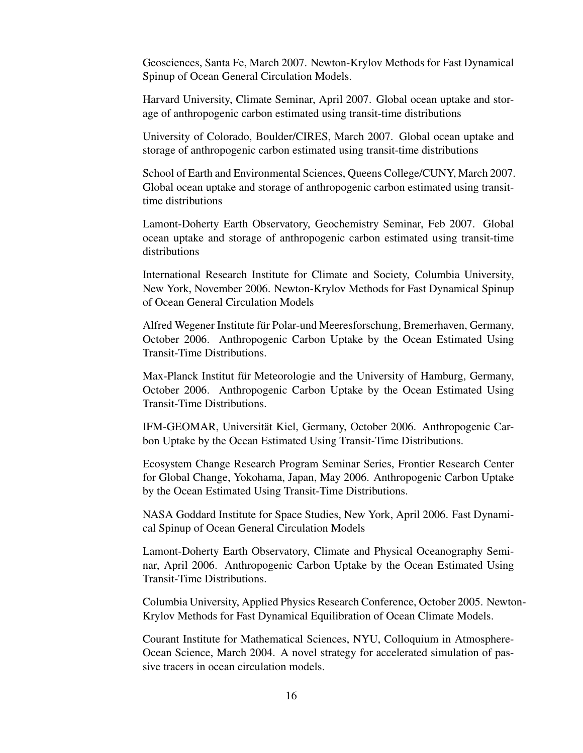Geosciences, Santa Fe, March 2007. Newton-Krylov Methods for Fast Dynamical Spinup of Ocean General Circulation Models.

Harvard University, Climate Seminar, April 2007. Global ocean uptake and storage of anthropogenic carbon estimated using transit-time distributions

University of Colorado, Boulder/CIRES, March 2007. Global ocean uptake and storage of anthropogenic carbon estimated using transit-time distributions

School of Earth and Environmental Sciences, Queens College/CUNY, March 2007. Global ocean uptake and storage of anthropogenic carbon estimated using transittime distributions

Lamont-Doherty Earth Observatory, Geochemistry Seminar, Feb 2007. Global ocean uptake and storage of anthropogenic carbon estimated using transit-time distributions

International Research Institute for Climate and Society, Columbia University, New York, November 2006. Newton-Krylov Methods for Fast Dynamical Spinup of Ocean General Circulation Models

Alfred Wegener Institute fur Polar-und Meeresforschung, Bremerhaven, Germany, ¨ October 2006. Anthropogenic Carbon Uptake by the Ocean Estimated Using Transit-Time Distributions.

Max-Planck Institut für Meteorologie and the University of Hamburg, Germany, October 2006. Anthropogenic Carbon Uptake by the Ocean Estimated Using Transit-Time Distributions.

IFM-GEOMAR, Universitat Kiel, Germany, October 2006. Anthropogenic Car- ¨ bon Uptake by the Ocean Estimated Using Transit-Time Distributions.

Ecosystem Change Research Program Seminar Series, Frontier Research Center for Global Change, Yokohama, Japan, May 2006. Anthropogenic Carbon Uptake by the Ocean Estimated Using Transit-Time Distributions.

NASA Goddard Institute for Space Studies, New York, April 2006. Fast Dynamical Spinup of Ocean General Circulation Models

Lamont-Doherty Earth Observatory, Climate and Physical Oceanography Seminar, April 2006. Anthropogenic Carbon Uptake by the Ocean Estimated Using Transit-Time Distributions.

Columbia University, Applied Physics Research Conference, October 2005. Newton-Krylov Methods for Fast Dynamical Equilibration of Ocean Climate Models.

Courant Institute for Mathematical Sciences, NYU, Colloquium in Atmosphere-Ocean Science, March 2004. A novel strategy for accelerated simulation of passive tracers in ocean circulation models.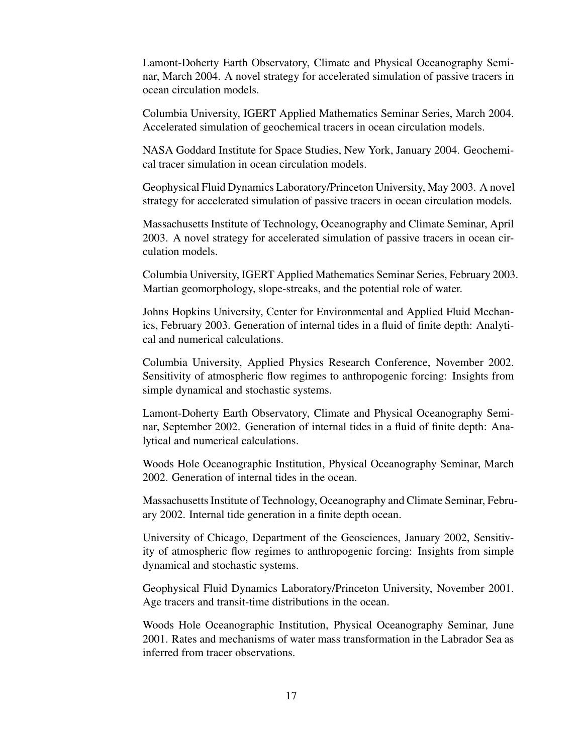Lamont-Doherty Earth Observatory, Climate and Physical Oceanography Seminar, March 2004. A novel strategy for accelerated simulation of passive tracers in ocean circulation models.

Columbia University, IGERT Applied Mathematics Seminar Series, March 2004. Accelerated simulation of geochemical tracers in ocean circulation models.

NASA Goddard Institute for Space Studies, New York, January 2004. Geochemical tracer simulation in ocean circulation models.

Geophysical Fluid Dynamics Laboratory/Princeton University, May 2003. A novel strategy for accelerated simulation of passive tracers in ocean circulation models.

Massachusetts Institute of Technology, Oceanography and Climate Seminar, April 2003. A novel strategy for accelerated simulation of passive tracers in ocean circulation models.

Columbia University, IGERT Applied Mathematics Seminar Series, February 2003. Martian geomorphology, slope-streaks, and the potential role of water.

Johns Hopkins University, Center for Environmental and Applied Fluid Mechanics, February 2003. Generation of internal tides in a fluid of finite depth: Analytical and numerical calculations.

Columbia University, Applied Physics Research Conference, November 2002. Sensitivity of atmospheric flow regimes to anthropogenic forcing: Insights from simple dynamical and stochastic systems.

Lamont-Doherty Earth Observatory, Climate and Physical Oceanography Seminar, September 2002. Generation of internal tides in a fluid of finite depth: Analytical and numerical calculations.

Woods Hole Oceanographic Institution, Physical Oceanography Seminar, March 2002. Generation of internal tides in the ocean.

Massachusetts Institute of Technology, Oceanography and Climate Seminar, February 2002. Internal tide generation in a finite depth ocean.

University of Chicago, Department of the Geosciences, January 2002, Sensitivity of atmospheric flow regimes to anthropogenic forcing: Insights from simple dynamical and stochastic systems.

Geophysical Fluid Dynamics Laboratory/Princeton University, November 2001. Age tracers and transit-time distributions in the ocean.

Woods Hole Oceanographic Institution, Physical Oceanography Seminar, June 2001. Rates and mechanisms of water mass transformation in the Labrador Sea as inferred from tracer observations.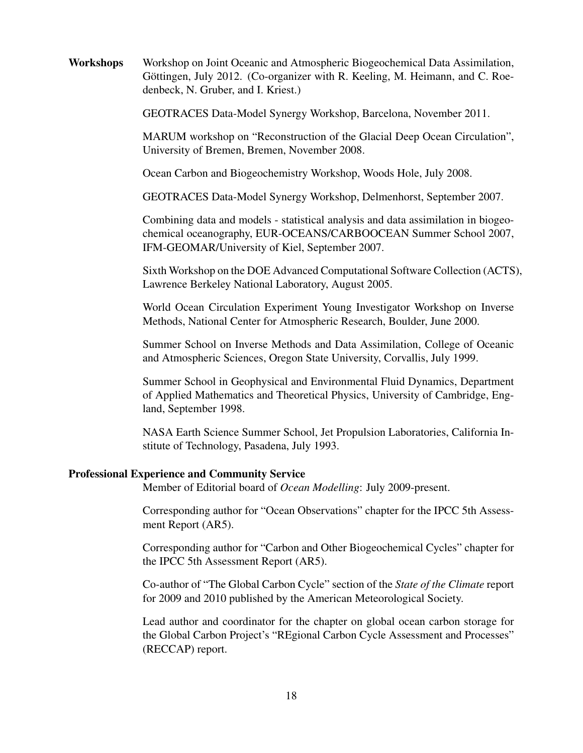Workshops Workshop on Joint Oceanic and Atmospheric Biogeochemical Data Assimilation, Göttingen, July 2012. (Co-organizer with R. Keeling, M. Heimann, and C. Roedenbeck, N. Gruber, and I. Kriest.)

GEOTRACES Data-Model Synergy Workshop, Barcelona, November 2011.

MARUM workshop on "Reconstruction of the Glacial Deep Ocean Circulation", University of Bremen, Bremen, November 2008.

Ocean Carbon and Biogeochemistry Workshop, Woods Hole, July 2008.

GEOTRACES Data-Model Synergy Workshop, Delmenhorst, September 2007.

Combining data and models - statistical analysis and data assimilation in biogeochemical oceanography, EUR-OCEANS/CARBOOCEAN Summer School 2007, IFM-GEOMAR/University of Kiel, September 2007.

Sixth Workshop on the DOE Advanced Computational Software Collection (ACTS), Lawrence Berkeley National Laboratory, August 2005.

World Ocean Circulation Experiment Young Investigator Workshop on Inverse Methods, National Center for Atmospheric Research, Boulder, June 2000.

Summer School on Inverse Methods and Data Assimilation, College of Oceanic and Atmospheric Sciences, Oregon State University, Corvallis, July 1999.

Summer School in Geophysical and Environmental Fluid Dynamics, Department of Applied Mathematics and Theoretical Physics, University of Cambridge, England, September 1998.

NASA Earth Science Summer School, Jet Propulsion Laboratories, California Institute of Technology, Pasadena, July 1993.

### Professional Experience and Community Service

Member of Editorial board of *Ocean Modelling*: July 2009-present.

Corresponding author for "Ocean Observations" chapter for the IPCC 5th Assessment Report (AR5).

Corresponding author for "Carbon and Other Biogeochemical Cycles" chapter for the IPCC 5th Assessment Report (AR5).

Co-author of "The Global Carbon Cycle" section of the *State of the Climate* report for 2009 and 2010 published by the American Meteorological Society.

Lead author and coordinator for the chapter on global ocean carbon storage for the Global Carbon Project's "REgional Carbon Cycle Assessment and Processes" (RECCAP) report.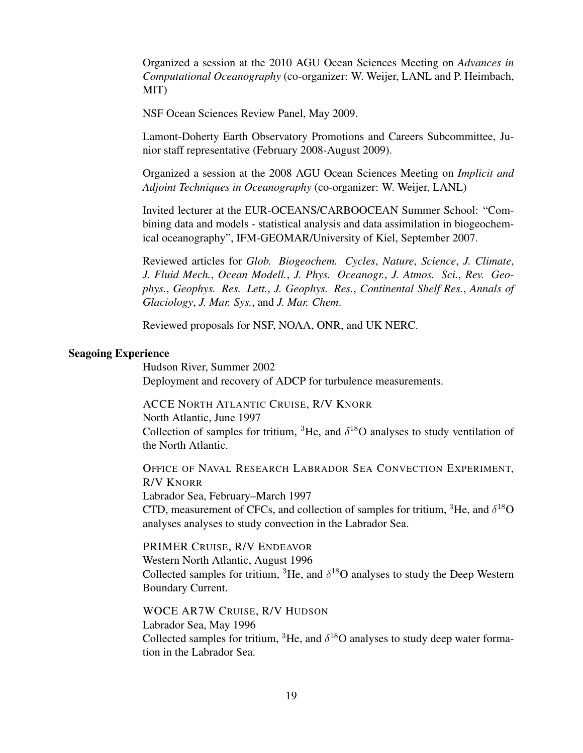Organized a session at the 2010 AGU Ocean Sciences Meeting on *Advances in Computational Oceanography* (co-organizer: W. Weijer, LANL and P. Heimbach, MIT)

NSF Ocean Sciences Review Panel, May 2009.

Lamont-Doherty Earth Observatory Promotions and Careers Subcommittee, Junior staff representative (February 2008-August 2009).

Organized a session at the 2008 AGU Ocean Sciences Meeting on *Implicit and Adjoint Techniques in Oceanography* (co-organizer: W. Weijer, LANL)

Invited lecturer at the EUR-OCEANS/CARBOOCEAN Summer School: "Combining data and models - statistical analysis and data assimilation in biogeochemical oceanography", IFM-GEOMAR/University of Kiel, September 2007.

Reviewed articles for *Glob. Biogeochem. Cycles*, *Nature*, *Science*, *J. Climate*, *J. Fluid Mech.*, *Ocean Modell.*, *J. Phys. Oceanogr.*, *J. Atmos. Sci.*, *Rev. Geophys.*, *Geophys. Res. Lett.*, *J. Geophys. Res.*, *Continental Shelf Res.*, *Annals of Glaciology*, *J. Mar. Sys.*, and *J. Mar. Chem*.

Reviewed proposals for NSF, NOAA, ONR, and UK NERC.

#### Seagoing Experience

Hudson River, Summer 2002 Deployment and recovery of ADCP for turbulence measurements.

ACCE NORTH ATLANTIC CRUISE, R/V KNORR

North Atlantic, June 1997

Collection of samples for tritium,  ${}^{3}$ He, and  $\delta^{18}$ O analyses to study ventilation of the North Atlantic.

OFFICE OF NAVAL RESEARCH LABRADOR SEA CONVECTION EXPERIMENT, R/V KNORR

Labrador Sea, February–March 1997

CTD, measurement of CFCs, and collection of samples for tritium,  ${}^{3}$ He, and  $\delta^{18}$ O analyses analyses to study convection in the Labrador Sea.

PRIMER CRUISE, R/V ENDEAVOR Western North Atlantic, August 1996 Collected samples for tritium,  ${}^{3}$ He, and  $\delta^{18}$ O analyses to study the Deep Western Boundary Current.

WOCE AR7W CRUISE, R/V HUDSON Labrador Sea, May 1996 Collected samples for tritium,  ${}^{3}$ He, and  $\delta^{18}$ O analyses to study deep water formation in the Labrador Sea.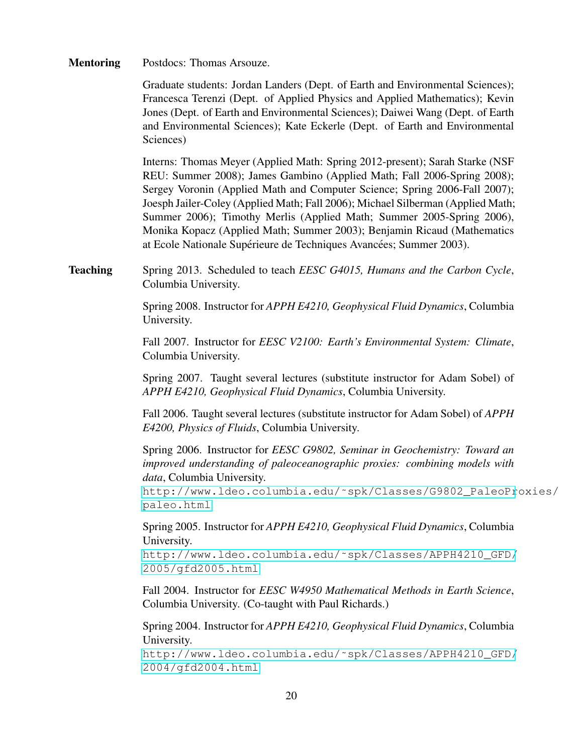Mentoring Postdocs: Thomas Arsouze.

Graduate students: Jordan Landers (Dept. of Earth and Environmental Sciences); Francesca Terenzi (Dept. of Applied Physics and Applied Mathematics); Kevin Jones (Dept. of Earth and Environmental Sciences); Daiwei Wang (Dept. of Earth and Environmental Sciences); Kate Eckerle (Dept. of Earth and Environmental Sciences)

Interns: Thomas Meyer (Applied Math: Spring 2012-present); Sarah Starke (NSF REU: Summer 2008); James Gambino (Applied Math; Fall 2006-Spring 2008); Sergey Voronin (Applied Math and Computer Science; Spring 2006-Fall 2007); Joesph Jailer-Coley (Applied Math; Fall 2006); Michael Silberman (Applied Math; Summer 2006); Timothy Merlis (Applied Math; Summer 2005-Spring 2006), Monika Kopacz (Applied Math; Summer 2003); Benjamin Ricaud (Mathematics at Ecole Nationale Supérieure de Techniques Avancées; Summer 2003).

Teaching Spring 2013. Scheduled to teach *EESC G4015, Humans and the Carbon Cycle*, Columbia University.

> Spring 2008. Instructor for *APPH E4210, Geophysical Fluid Dynamics*, Columbia University.

> Fall 2007. Instructor for *EESC V2100: Earth's Environmental System: Climate*, Columbia University.

> Spring 2007. Taught several lectures (substitute instructor for Adam Sobel) of *APPH E4210, Geophysical Fluid Dynamics*, Columbia University.

> Fall 2006. Taught several lectures (substitute instructor for Adam Sobel) of *APPH E4200, Physics of Fluids*, Columbia University.

> Spring 2006. Instructor for *EESC G9802, Seminar in Geochemistry: Toward an improved understanding of paleoceanographic proxies: combining models with data*, Columbia University.

[http://www.ldeo.columbia.edu/˜spk/Classes/G9802\\_PaleoPr](http://www.ldeo.columbia.edu/~spk/Classes/G9802_PaleoProxies/paleo.html)oxies/ [paleo.html](http://www.ldeo.columbia.edu/~spk/Classes/G9802_PaleoProxies/paleo.html)

Spring 2005. Instructor for *APPH E4210, Geophysical Fluid Dynamics*, Columbia University.

[http://www.ldeo.columbia.edu/˜spk/Classes/APPH4210\\_GFD/](http://www.ldeo.columbia.edu/~spk/Classes/APPH4210_GFD/2005/gfd2005.html) [2005/gfd2005.html](http://www.ldeo.columbia.edu/~spk/Classes/APPH4210_GFD/2005/gfd2005.html)

Fall 2004. Instructor for *EESC W4950 Mathematical Methods in Earth Science*, Columbia University. (Co-taught with Paul Richards.)

Spring 2004. Instructor for *APPH E4210, Geophysical Fluid Dynamics*, Columbia University.

[http://www.ldeo.columbia.edu/˜spk/Classes/APPH4210\\_GFD/](http://www.ldeo.columbia.edu/~spk/Classes/APPH4210_GFD/2004/gfd2004.html) [2004/gfd2004.html](http://www.ldeo.columbia.edu/~spk/Classes/APPH4210_GFD/2004/gfd2004.html)